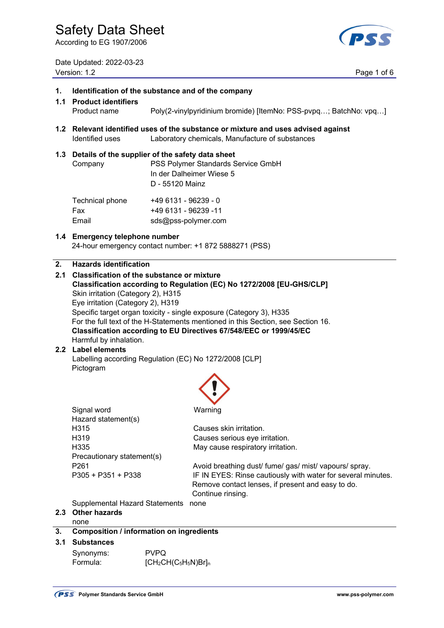According to EG 1907/2006

Date Updated: 2022-03-23 Version: 1.2 Page 1 of 6

# **1. Identification of the substance and of the company 1.1 Product identifiers**  Product name Poly(2-vinylpyridinium bromide) [ItemNo: PSS-pvpq…; BatchNo: vpq…] **1.2 Relevant identified uses of the substance or mixture and uses advised against**  Identified uses Laboratory chemicals, Manufacture of substances **1.3 Details of the supplier of the safety data sheet**  Company PSS Polymer Standards Service GmbH In der Dalheimer Wiese 5 D - 55120 Mainz Technical phone +49 6131 - 96239 - 0 Fax +49 6131 - 96239 -11 Email sds@pss-polymer.com **1.4 Emergency telephone number** 24-hour emergency contact number: +1 872 5888271 (PSS) **2. Hazards identification 2.1 Classification of the substance or mixture Classification according to Regulation (EC) No 1272/2008 [EU-GHS/CLP]** Skin irritation (Category 2), H315 Eye irritation (Category 2), H319 Specific target organ toxicity - single exposure (Category 3), H335 For the full text of the H-Statements mentioned in this Section, see Section 16. **Classification according to EU Directives 67/548/EEC or 1999/45/EC Harmful by inhalation. 2.2 Label elements**  Labelling according Regulation (EC) No 1272/2008 [CLP] Pictogram **Signal word Warning**  Hazard statement(s) H315 Causes skin irritation. H319 Causes serious eye irritation. H335 May cause respiratory irritation. Precautionary statement(s) P261 **Avoid breathing dust/ fume/ gas/ mist/ vapours/ spray.** P261 P305 + P351 + P338 **IF IN EYES: Rinse cautiously with water for several minutes.**  Remove contact lenses, if present and easy to do. Continue rinsing. Supplemental Hazard Statements none **2.3 Other hazards**  none **3. Composition / information on ingredients**

# **3.1 Substances**

| Synonyms: | <b>PVPQ</b>         |
|-----------|---------------------|
| Formula:  | $[CH2CH(C5H5N)Br]n$ |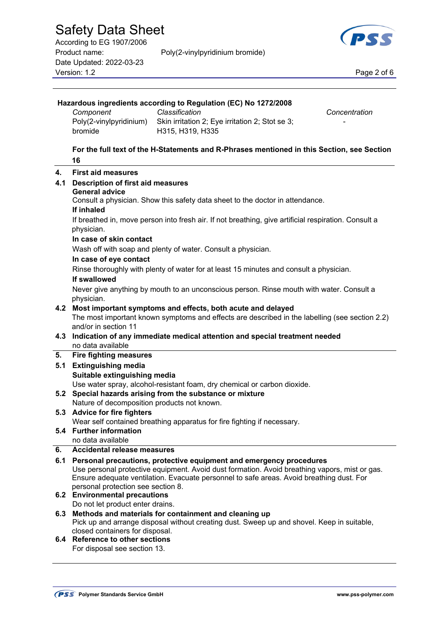| According to EG 1907/2006 |                                 | <b>COLLEGE</b> |
|---------------------------|---------------------------------|----------------|
| Product name:             | Poly(2-vinylpyridinium bromide) |                |
| Date Updated: 2022-03-23  |                                 |                |
| Version: 1.2              |                                 | Page 2 of 6    |

 **Hazardous ingredients according to Regulation (EC) No 1272/2008** 



|     | Poly(2-vinylpyridinium) Skin irritation 2; Eye irritation 2; Stot se 3;<br>bromide<br>H315, H319, H335                                                               |  |  |
|-----|----------------------------------------------------------------------------------------------------------------------------------------------------------------------|--|--|
|     | For the full text of the H-Statements and R-Phrases mentioned in this Section, see Section<br>16                                                                     |  |  |
| 4.  | <b>First aid measures</b>                                                                                                                                            |  |  |
| 4.1 | <b>Description of first aid measures</b>                                                                                                                             |  |  |
|     | <b>General advice</b>                                                                                                                                                |  |  |
|     | Consult a physician. Show this safety data sheet to the doctor in attendance.                                                                                        |  |  |
|     | If inhaled                                                                                                                                                           |  |  |
|     | If breathed in, move person into fresh air. If not breathing, give artificial respiration. Consult a<br>physician.                                                   |  |  |
|     | In case of skin contact                                                                                                                                              |  |  |
|     | Wash off with soap and plenty of water. Consult a physician.                                                                                                         |  |  |
|     | In case of eye contact                                                                                                                                               |  |  |
|     | Rinse thoroughly with plenty of water for at least 15 minutes and consult a physician.                                                                               |  |  |
|     | If swallowed                                                                                                                                                         |  |  |
|     | Never give anything by mouth to an unconscious person. Rinse mouth with water. Consult a                                                                             |  |  |
|     | physician.                                                                                                                                                           |  |  |
| 4.2 | Most important symptoms and effects, both acute and delayed<br>The most important known symptoms and effects are described in the labelling (see section 2.2)        |  |  |
|     | and/or in section 11                                                                                                                                                 |  |  |
| 4.3 | Indication of any immediate medical attention and special treatment needed                                                                                           |  |  |
|     | no data available                                                                                                                                                    |  |  |
| 5.  | <b>Fire fighting measures</b>                                                                                                                                        |  |  |
| 5.1 | <b>Extinguishing media</b>                                                                                                                                           |  |  |
|     | Suitable extinguishing media                                                                                                                                         |  |  |
| 5.2 | Use water spray, alcohol-resistant foam, dry chemical or carbon dioxide.<br>Special hazards arising from the substance or mixture                                    |  |  |
|     | Nature of decomposition products not known.                                                                                                                          |  |  |
|     | 5.3 Advice for fire fighters                                                                                                                                         |  |  |
|     | Wear self contained breathing apparatus for fire fighting if necessary.                                                                                              |  |  |
|     | 5.4 Further information                                                                                                                                              |  |  |
| 6.  | no data available                                                                                                                                                    |  |  |
| 6.1 | <b>Accidental release measures</b>                                                                                                                                   |  |  |
|     | Personal precautions, protective equipment and emergency procedures<br>Use personal protective equipment. Avoid dust formation. Avoid breathing vapors, mist or gas. |  |  |
|     | Ensure adequate ventilation. Evacuate personnel to safe areas. Avoid breathing dust. For                                                                             |  |  |
|     | personal protection see section 8.                                                                                                                                   |  |  |
| 6.2 | <b>Environmental precautions</b>                                                                                                                                     |  |  |
| 6.3 | Do not let product enter drains.<br>Methods and materials for containment and cleaning up                                                                            |  |  |
|     | Pick up and arrange disposal without creating dust. Sweep up and shovel. Keep in suitable,                                                                           |  |  |
|     | closed containers for disposal.                                                                                                                                      |  |  |
|     | 6.4 Reference to other sections                                                                                                                                      |  |  |
|     |                                                                                                                                                                      |  |  |

*Component Classification Concentration* 

For disposal see section 13.

 $\overline{a}$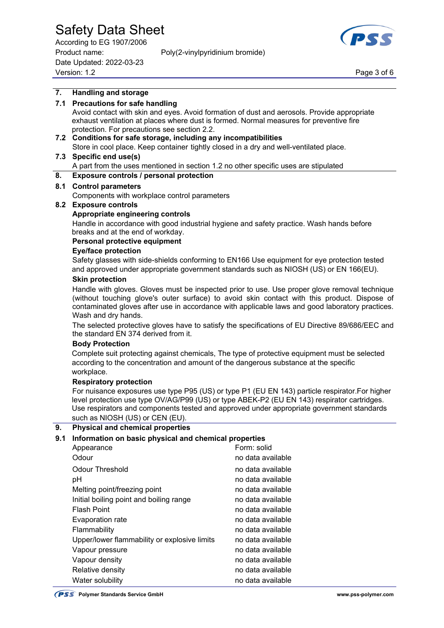According to EG 1907/2006 Product name: Poly(2-vinylpyridinium bromide) Date Updated: 2022-03-23 Page 3 of 6<br>Version: 1.2 Page 3 of 6



# **7. Handling and storage 7.1 Precautions for safe handling**

 Avoid contact with skin and eyes. Avoid formation of dust and aerosols. Provide appropriate exhaust ventilation at places where dust is formed. Normal measures for preventive fire protection. For precautions see section 2.2.

# **7.2 Conditions for safe storage, including any incompatibilities**

Store in cool place. Keep container tightly closed in a dry and well-ventilated place.

## **7.3 Specific end use(s)**

A part from the uses mentioned in section 1.2 no other specific uses are stipulated

## **8. Exposure controls / personal protection**

## **8.1 Control parameters**

Components with workplace control parameters

## **8.2 Exposure controls**

#### **Appropriate engineering controls**

 Handle in accordance with good industrial hygiene and safety practice. Wash hands before breaks and at the end of workday.

## **Personal protective equipment**

## **Eye/face protection**

 Safety glasses with side-shields conforming to EN166 Use equipment for eye protection tested and approved under appropriate government standards such as NIOSH (US) or EN 166(EU).

#### **Skin protection**

 Handle with gloves. Gloves must be inspected prior to use. Use proper glove removal technique (without touching glove's outer surface) to avoid skin contact with this product. Dispose of contaminated gloves after use in accordance with applicable laws and good laboratory practices. Wash and dry hands.

 The selected protective gloves have to satisfy the specifications of EU Directive 89/686/EEC and the standard EN 374 derived from it.

#### **Body Protection**

 Complete suit protecting against chemicals, The type of protective equipment must be selected according to the concentration and amount of the dangerous substance at the specific workplace.

#### **Respiratory protection**

 For nuisance exposures use type P95 (US) or type P1 (EU EN 143) particle respirator.For higher level protection use type OV/AG/P99 (US) or type ABEK-P2 (EU EN 143) respirator cartridges. Use respirators and components tested and approved under appropriate government standards such as NIOSH (US) or CEN (EU).

# **9. Physical and chemical properties**

## **9.1 Information on basic physical and chemical properties**

| Appearance                                   | Form: solid       |
|----------------------------------------------|-------------------|
| Odour                                        | no data available |
| Odour Threshold                              | no data available |
| рH                                           | no data available |
| Melting point/freezing point                 | no data available |
| Initial boiling point and boiling range      | no data available |
| <b>Flash Point</b>                           | no data available |
| Evaporation rate                             | no data available |
| Flammability                                 | no data available |
| Upper/lower flammability or explosive limits | no data available |
| Vapour pressure                              | no data available |
| Vapour density                               | no data available |
| Relative density                             | no data available |
| Water solubility                             | no data available |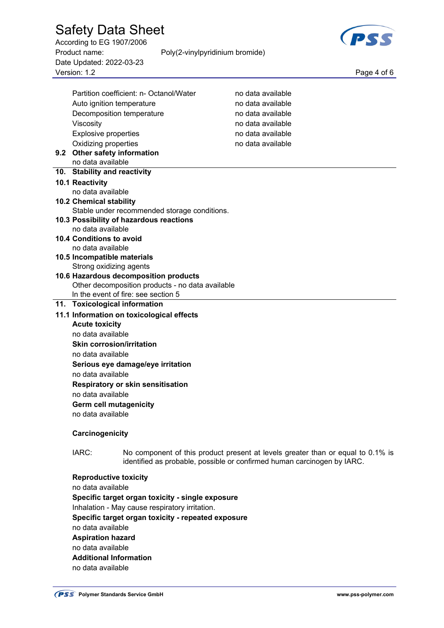According to EG 1907/2006 Product name: Poly(2-vinylpyridinium bromide) Date Updated: 2022-03-23 Page 4 of 6<br>Version: 1.2 Page 4 of 6

 $\overline{a}$ 



|                                                               | Partition coefficient: n- Octanol/Water                                                   | no data available                                                                                                                                          |
|---------------------------------------------------------------|-------------------------------------------------------------------------------------------|------------------------------------------------------------------------------------------------------------------------------------------------------------|
| Auto ignition temperature                                     |                                                                                           | no data available                                                                                                                                          |
| Decomposition temperature                                     |                                                                                           | no data available                                                                                                                                          |
| Viscosity                                                     |                                                                                           | no data available                                                                                                                                          |
| <b>Explosive properties</b>                                   |                                                                                           | no data available                                                                                                                                          |
| Oxidizing properties                                          |                                                                                           | no data available                                                                                                                                          |
| 9.2 Other safety information                                  |                                                                                           |                                                                                                                                                            |
| no data available                                             |                                                                                           |                                                                                                                                                            |
| 10. Stability and reactivity                                  |                                                                                           |                                                                                                                                                            |
| 10.1 Reactivity                                               |                                                                                           |                                                                                                                                                            |
| no data available                                             |                                                                                           |                                                                                                                                                            |
| <b>10.2 Chemical stability</b>                                |                                                                                           |                                                                                                                                                            |
|                                                               | Stable under recommended storage conditions.                                              |                                                                                                                                                            |
|                                                               | 10.3 Possibility of hazardous reactions                                                   |                                                                                                                                                            |
| no data available                                             |                                                                                           |                                                                                                                                                            |
| <b>10.4 Conditions to avoid</b>                               |                                                                                           |                                                                                                                                                            |
| no data available                                             |                                                                                           |                                                                                                                                                            |
| 10.5 Incompatible materials                                   |                                                                                           |                                                                                                                                                            |
| Strong oxidizing agents                                       |                                                                                           |                                                                                                                                                            |
|                                                               | 10.6 Hazardous decomposition products<br>Other decomposition products - no data available |                                                                                                                                                            |
|                                                               | In the event of fire: see section 5                                                       |                                                                                                                                                            |
| 11. Toxicological information                                 |                                                                                           |                                                                                                                                                            |
|                                                               | 11.1 Information on toxicological effects                                                 |                                                                                                                                                            |
| <b>Acute toxicity</b>                                         |                                                                                           |                                                                                                                                                            |
| no data available                                             |                                                                                           |                                                                                                                                                            |
| <b>Skin corrosion/irritation</b>                              |                                                                                           |                                                                                                                                                            |
| no data available                                             |                                                                                           |                                                                                                                                                            |
|                                                               |                                                                                           |                                                                                                                                                            |
| Serious eye damage/eye irritation<br>no data available        |                                                                                           |                                                                                                                                                            |
|                                                               |                                                                                           |                                                                                                                                                            |
| <b>Respiratory or skin sensitisation</b><br>no data available |                                                                                           |                                                                                                                                                            |
| <b>Germ cell mutagenicity</b>                                 |                                                                                           |                                                                                                                                                            |
| no data available                                             |                                                                                           |                                                                                                                                                            |
|                                                               |                                                                                           |                                                                                                                                                            |
| Carcinogenicity                                               |                                                                                           |                                                                                                                                                            |
|                                                               |                                                                                           |                                                                                                                                                            |
| IARC:                                                         |                                                                                           | No component of this product present at levels greater than or equal to 0.1% is<br>identified as probable, possible or confirmed human carcinogen by IARC. |
| <b>Reproductive toxicity</b>                                  |                                                                                           |                                                                                                                                                            |
| no data available                                             |                                                                                           |                                                                                                                                                            |
| Specific target organ toxicity - single exposure              |                                                                                           |                                                                                                                                                            |
| Inhalation - May cause respiratory irritation.                |                                                                                           |                                                                                                                                                            |
| Specific target organ toxicity - repeated exposure            |                                                                                           |                                                                                                                                                            |
| no data available                                             |                                                                                           |                                                                                                                                                            |
| <b>Aspiration hazard</b>                                      |                                                                                           |                                                                                                                                                            |
| no data available                                             |                                                                                           |                                                                                                                                                            |
| <b>Additional Information</b>                                 |                                                                                           |                                                                                                                                                            |
| no data available                                             |                                                                                           |                                                                                                                                                            |
|                                                               |                                                                                           |                                                                                                                                                            |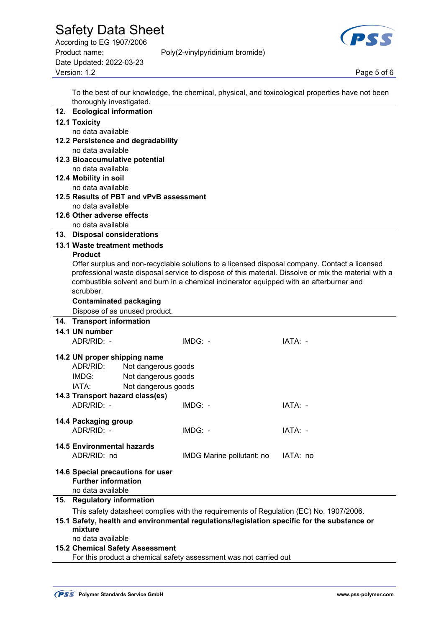According to EG 1907/2006 Product name: Poly(2-vinylpyridinium bromide) Date Updated: 2022-03-23 Page 5 of 6<br>Version: 1.2 Page 5 of 6



 To the best of our knowledge, the chemical, physical, and toxicological properties have not been thoroughly investigated.

| 12. Ecological information        |                                         |                                                                                             |                                                                                                      |
|-----------------------------------|-----------------------------------------|---------------------------------------------------------------------------------------------|------------------------------------------------------------------------------------------------------|
| <b>12.1 Toxicity</b>              |                                         |                                                                                             |                                                                                                      |
| no data available                 |                                         |                                                                                             |                                                                                                      |
|                                   | 12.2 Persistence and degradability      |                                                                                             |                                                                                                      |
| no data available                 |                                         |                                                                                             |                                                                                                      |
|                                   | 12.3 Bioaccumulative potential          |                                                                                             |                                                                                                      |
| no data available                 |                                         |                                                                                             |                                                                                                      |
| 12.4 Mobility in soil             |                                         |                                                                                             |                                                                                                      |
| no data available                 |                                         |                                                                                             |                                                                                                      |
|                                   | 12.5 Results of PBT and vPvB assessment |                                                                                             |                                                                                                      |
| no data available                 |                                         |                                                                                             |                                                                                                      |
| 12.6 Other adverse effects        |                                         |                                                                                             |                                                                                                      |
| no data available                 |                                         |                                                                                             |                                                                                                      |
| 13. Disposal considerations       |                                         |                                                                                             |                                                                                                      |
| 13.1 Waste treatment methods      |                                         |                                                                                             |                                                                                                      |
| <b>Product</b>                    |                                         |                                                                                             |                                                                                                      |
|                                   |                                         |                                                                                             | Offer surplus and non-recyclable solutions to a licensed disposal company. Contact a licensed        |
|                                   |                                         |                                                                                             | professional waste disposal service to dispose of this material. Dissolve or mix the material with a |
|                                   |                                         | combustible solvent and burn in a chemical incinerator equipped with an afterburner and     |                                                                                                      |
| scrubber.                         |                                         |                                                                                             |                                                                                                      |
|                                   | <b>Contaminated packaging</b>           |                                                                                             |                                                                                                      |
|                                   | Dispose of as unused product.           |                                                                                             |                                                                                                      |
| 14. Transport information         |                                         |                                                                                             |                                                                                                      |
| 14.1 UN number                    |                                         |                                                                                             |                                                                                                      |
| ADR/RID: -                        |                                         | $IMDG: -$                                                                                   | IATA: -                                                                                              |
|                                   |                                         |                                                                                             |                                                                                                      |
| 14.2 UN proper shipping name      |                                         |                                                                                             |                                                                                                      |
| ADR/RID:                          | Not dangerous goods                     |                                                                                             |                                                                                                      |
| IMDG:                             | Not dangerous goods                     |                                                                                             |                                                                                                      |
| IATA:                             | Not dangerous goods                     |                                                                                             |                                                                                                      |
|                                   | 14.3 Transport hazard class(es)         |                                                                                             |                                                                                                      |
| ADR/RID: -                        |                                         | $IMDG: -$                                                                                   | IATA: -                                                                                              |
|                                   |                                         |                                                                                             |                                                                                                      |
| 14.4 Packaging group              |                                         |                                                                                             |                                                                                                      |
| ADR/RID: -                        |                                         | $IMDG: -$                                                                                   | IATA: -                                                                                              |
|                                   |                                         |                                                                                             |                                                                                                      |
| <b>14.5 Environmental hazards</b> |                                         |                                                                                             |                                                                                                      |
| ADR/RID: no                       |                                         | IMDG Marine pollutant: no                                                                   | IATA: no                                                                                             |
|                                   | 14.6 Special precautions for user       |                                                                                             |                                                                                                      |
| <b>Further information</b>        |                                         |                                                                                             |                                                                                                      |
| no data available                 |                                         |                                                                                             |                                                                                                      |
| 15. Regulatory information        |                                         |                                                                                             |                                                                                                      |
|                                   |                                         | This safety datasheet complies with the requirements of Regulation (EC) No. 1907/2006.      |                                                                                                      |
|                                   |                                         | 15.1 Safety, health and environmental regulations/legislation specific for the substance or |                                                                                                      |
| mixture                           |                                         |                                                                                             |                                                                                                      |
| no data available                 |                                         |                                                                                             |                                                                                                      |
|                                   | <b>15.2 Chemical Safety Assessment</b>  |                                                                                             |                                                                                                      |
|                                   |                                         | For this product a chemical safety assessment was not carried out                           |                                                                                                      |
|                                   |                                         |                                                                                             |                                                                                                      |